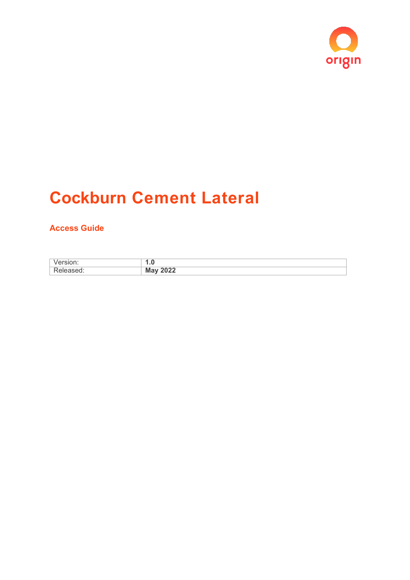

# **Cockburn Cement Lateral**

# <span id="page-0-0"></span>**Access Guide**

| . .                                                         |
|-------------------------------------------------------------|
| $\bullet\bullet\bullet\bullet$<br>- -<br>$-0-4$<br>$\cdots$ |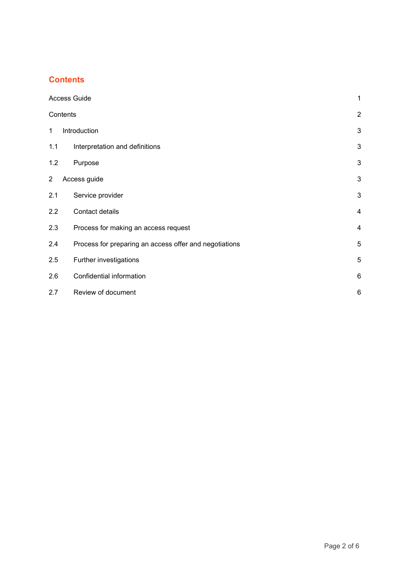## <span id="page-1-0"></span>**Contents**

|                | <b>Access Guide</b>                                    |                |
|----------------|--------------------------------------------------------|----------------|
| Contents       |                                                        | $\overline{2}$ |
| 1              | Introduction                                           | 3              |
| 1.1            | Interpretation and definitions                         | 3              |
| 1.2            | Purpose                                                | 3              |
| $\overline{2}$ | Access guide                                           | 3              |
| 2.1            | Service provider                                       | 3              |
| 2.2            | Contact details                                        | $\overline{4}$ |
| 2.3            | Process for making an access request                   | $\overline{4}$ |
| 2.4            | Process for preparing an access offer and negotiations | 5              |
| 2.5            | Further investigations                                 | 5              |
| 2.6            | Confidential information                               | 6              |
| 2.7            | Review of document                                     | 6              |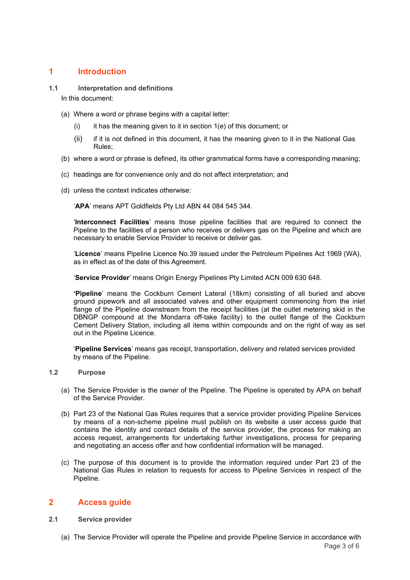## <span id="page-2-0"></span>**1 Introduction**

<span id="page-2-1"></span>**1.1 Interpretation and definitions**

In this document:

- (a) Where a word or phrase begins with a capital letter:
	- $(i)$  it has the meaning given to it in section  $1(e)$  of this document; or
	- (ii) if it is not defined in this document, it has the meaning given to it in the National Gas Rules;
- (b) where a word or phrase is defined, its other grammatical forms have a corresponding meaning;
- (c) headings are for convenience only and do not affect interpretation; and
- (d) unless the context indicates otherwise:

'**APA**' means APT Goldfields Pty Ltd ABN 44 084 545 344.

'**Interconnect Facilities**' means those pipeline facilities that are required to connect the Pipeline to the facilities of a person who receives or delivers gas on the Pipeline and which are necessary to enable Service Provider to receive or deliver gas.

'**Licence**' means Pipeline Licence No.39 issued under the Petroleum Pipelines Act 1969 (WA), as in effect as of the date of this Agreement.

'**Service Provider**' means Origin Energy Pipelines Pty Limited ACN 009 630 648.

**'Pipeline**' means the Cockburn Cement Lateral (18km) consisting of all buried and above ground pipework and all associated valves and other equipment commencing from the inlet flange of the Pipeline downstream from the receipt facilities (at the outlet metering skid in the DBNGP compound at the Mondarra off-take facility) to the outlet flange of the Cockburn Cement Delivery Station, including all items within compounds and on the right of way as set out in the Pipeline Licence.

'**Pipeline Services**' means gas receipt, transportation, delivery and related services provided by means of the Pipeline.

#### <span id="page-2-2"></span>**1.2 Purpose**

- (a) The Service Provider is the owner of the Pipeline. The Pipeline is operated by APA on behalf of the Service Provider.
- (b) Part 23 of the National Gas Rules requires that a service provider providing Pipeline Services by means of a non-scheme pipeline must publish on its website a user access guide that contains the identity and contact details of the service provider, the process for making an access request, arrangements for undertaking further investigations, process for preparing and negotiating an access offer and how confidential information will be managed.
- (c) The purpose of this document is to provide the information required under Part 23 of the National Gas Rules in relation to requests for access to Pipeline Services in respect of the Pipeline.

### <span id="page-2-3"></span>**2 Access guide**

#### <span id="page-2-4"></span>**2.1 Service provider**

Page 3 of 6 (a) The Service Provider will operate the Pipeline and provide Pipeline Service in accordance with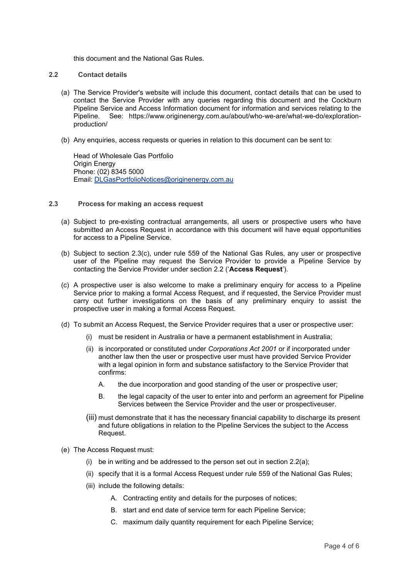this document and the National Gas Rules.

#### <span id="page-3-0"></span>**2.2 Contact details**

- (a) The Service Provider's website will include this document, contact details that can be used to contact the Service Provider with any queries regarding this document and the Cockburn Pipeline Service and Access Information document for information and services relating to the Pipeline.<br>Pipeline. See: https://www.originenergy.com.au/about/who-we-are/what-we-do/exploration-See: https://www.originenergy.com.au/about/who-we-are/what-we-do/explorationproduction/
- (b) Any enquiries, access requests or queries in relation to this document can be sent to:

Head of Wholesale Gas Portfolio Origin Energy Phone: (02) 8345 5000 Email: [DLGasPortfolioNotices@originenergy.com.au](mailto:DLGasPortfolioNotices@originenergy.com.au)

- <span id="page-3-1"></span>**2.3 Process for making an access request**
	- (a) Subject to pre-existing contractual arrangements, all users or prospective users who have submitted an Access Request in accordance with this document will have equal opportunities for access to a Pipeline Service.
	- (b) Subject to section 2.3(c), under rule 559 of the National Gas Rules, any user or prospective user of the Pipeline may request the Service Provider to provide a Pipeline Service by contacting the Service Provider under section 2.2 ('**Access Request**').
	- (c) A prospective user is also welcome to make a preliminary enquiry for access to a Pipeline Service prior to making a formal Access Request, and if requested, the Service Provider must carry out further investigations on the basis of any preliminary enquiry to assist the prospective user in making a formal Access Request.
	- (d) To submit an Access Request, the Service Provider requires that a user or prospective user:
		- (i) must be resident in Australia or have a permanent establishment in Australia;
		- (ii) is incorporated or constituted under *Corporations Act 2001* or if incorporated under another law then the user or prospective user must have provided Service Provider with a legal opinion in form and substance satisfactory to the Service Provider that confirms:
			- A. the due incorporation and good standing of the user or prospective user;
			- B. the legal capacity of the user to enter into and perform an agreement for Pipeline Services between the Service Provider and the user or prospectiveuser.
		- (iii) must demonstrate that it has the necessary financial capability to discharge its present and future obligations in relation to the Pipeline Services the subject to the Access Request.
	- (e) The Access Request must:
		- (i) be in writing and be addressed to the person set out in section  $2.2(a)$ ;
		- (ii) specify that it is a formal Access Request under rule 559 of the National Gas Rules;
		- (iii) include the following details:
			- A. Contracting entity and details for the purposes of notices;
			- B. start and end date of service term for each Pipeline Service;
			- C. maximum daily quantity requirement for each Pipeline Service;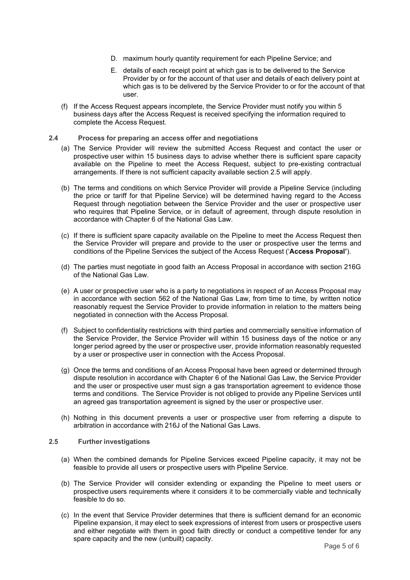- D. maximum hourly quantity requirement for each Pipeline Service; and
- E. details of each receipt point at which gas is to be delivered to the Service Provider by or for the account of that user and details of each delivery point at which gas is to be delivered by the Service Provider to or for the account of that user.
- (f) If the Access Request appears incomplete, the Service Provider must notify you within 5 business days after the Access Request is received specifying the information required to complete the Access Request.

#### <span id="page-4-0"></span>**2.4 Process for preparing an access offer and negotiations**

- (a) The Service Provider will review the submitted Access Request and contact the user or prospective user within 15 business days to advise whether there is sufficient spare capacity available on the Pipeline to meet the Access Request, subject to pre-existing contractual arrangements. If there is not sufficient capacity available section 2.5 will apply.
- (b) The terms and conditions on which Service Provider will provide a Pipeline Service (including the price or tariff for that Pipeline Service) will be determined having regard to the Access Request through negotiation between the Service Provider and the user or prospective user who requires that Pipeline Service, or in default of agreement, through dispute resolution in accordance with Chapter 6 of the National Gas Law.
- (c) If there is sufficient spare capacity available on the Pipeline to meet the Access Request then the Service Provider will prepare and provide to the user or prospective user the terms and conditions of the Pipeline Services the subject of the Access Request ('**Access Proposal'**).
- (d) The parties must negotiate in good faith an Access Proposal in accordance with section 216G of the National Gas Law.
- (e) A user or prospective user who is a party to negotiations in respect of an Access Proposal may in accordance with section 562 of the National Gas Law, from time to time, by written notice reasonably request the Service Provider to provide information in relation to the matters being negotiated in connection with the Access Proposal.
- (f) Subject to confidentiality restrictions with third parties and commercially sensitive information of the Service Provider, the Service Provider will within 15 business days of the notice or any longer period agreed by the user or prospective user, provide information reasonably requested by a user or prospective user in connection with the Access Proposal.
- (g) Once the terms and conditions of an Access Proposal have been agreed or determined through dispute resolution in accordance with Chapter 6 of the National Gas Law, the Service Provider and the user or prospective user must sign a gas transportation agreement to evidence those terms and conditions. The Service Provider is not obliged to provide any Pipeline Services until an agreed gas transportation agreement is signed by the user or prospective user.
- (h) Nothing in this document prevents a user or prospective user from referring a dispute to arbitration in accordance with 216J of the National Gas Laws.

#### <span id="page-4-1"></span>**2.5 Further investigations**

- (a) When the combined demands for Pipeline Services exceed Pipeline capacity, it may not be feasible to provide all users or prospective users with Pipeline Service.
- (b) The Service Provider will consider extending or expanding the Pipeline to meet users or prospective users requirements where it considers it to be commercially viable and technically feasible to do so.
- (c) In the event that Service Provider determines that there is sufficient demand for an economic Pipeline expansion, it may elect to seek expressions of interest from users or prospective users and either negotiate with them in good faith directly or conduct a competitive tender for any spare capacity and the new (unbuilt) capacity.